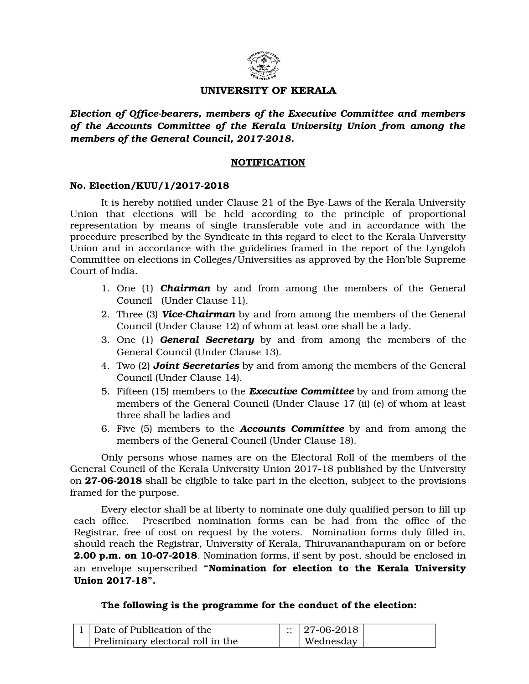

## **UNIVERSITY OF KERALA**

*Election of Officebearers, members of the Executive Committee and members of the Accounts Committee of the Kerala University Union from among the* members of the General Council, 2017-2018.

## **NOTIFICATION**

## **No. Election/KUU/1/2017-2018**

It is hereby notified under Clause 21 of the Bye-Laws of the Kerala University Union that elections will be held according to the principle of proportional representation by means of single transferable vote and in accordance with the procedure prescribed by the Syndicate in this regard to elect to the Kerala University Union and in accordance with the guidelines framed in the report of the Lyngdoh Committee on elections in Colleges/Universities as approved by the Hon'ble Supreme Court of India.

- 1. One (1) **Chairman** by and from among the members of the General Council (Under Clause 11).
- 2. Three (3) *ViceChairman* by and from among the members of the General Council (Under Clause 12) of whom at least one shall be a lady.
- 3. One (1) *General Secretary* by and from among the members of the General Council (Under Clause 13).
- 4. Two (2) *Joint Secretaries* by and from among the members of the General Council (Under Clause 14).
- 5. Fifteen (15) members to the *Executive Committee* by and from among the members of the General Council (Under Clause 17 (ii) (e) of whom at least three shall be ladies and
- 6. Five (5) members to the *Accounts Committee* by and from among the members of the General Council (Under Clause 18).

Only persons whose names are on the Electoral Roll of the members of the General Council of the Kerala University Union 2017-18 published by the University on **27062018** shall be eligible to take part in the election, subject to the provisions framed for the purpose.

Every elector shall be at liberty to nominate one duly qualified person to fill up each office. Prescribed nomination forms can be had from the office of the Registrar, free of cost on request by the voters. Nomination forms duly filled in, should reach the Registrar, University of Kerala, Thiruvananthapuram on or before **2.00 p.m. on 10-07-2018**. Nomination forms, if sent by post, should be enclosed in an envelope superscribed "Nomination for election to the Kerala University **Union 2017-18".** 

**The following is the programme for the conduct of the election:**

| Date of Publication of the        | $\therefore$   27-06-2018 |  |
|-----------------------------------|---------------------------|--|
| Preliminary electoral roll in the | Wednesday                 |  |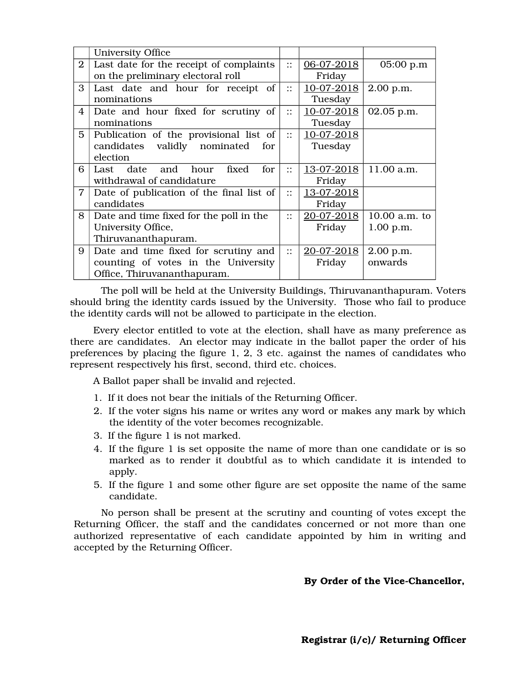|                | University Office                        |                        |                   |                 |
|----------------|------------------------------------------|------------------------|-------------------|-----------------|
| $\overline{2}$ | Last date for the receipt of complaints  | $\vdots$               | $06 - 07 - 2018$  | 05:00 p.m       |
|                | on the preliminary electoral roll        |                        | Friday            |                 |
| 3              | Last date and hour for receipt of        | $\bullet$ .            | 10-07-2018        | 2.00 p.m.       |
|                | nominations                              |                        | Tuesday           |                 |
| 4              | Date and hour fixed for scrutiny of      | $\vdots$               | 10-07-2018        | 02.05 p.m.      |
|                | nominations                              |                        | Tuesday           |                 |
| 5              | Publication of the provisional list of   | $\dddot{\mathbf{r}}$   | 10-07-2018        |                 |
|                | candidates validly nominated<br>for      |                        | Tuesday           |                 |
|                | election                                 |                        |                   |                 |
| 6              | for<br>date and hour<br>fixed<br>Last    | $\mathbf{\mathbf{::}}$ | <u>13-07-2018</u> | 11.00 a.m.      |
|                | withdrawal of candidature                |                        | Friday            |                 |
| 7              | Date of publication of the final list of | $\vdots$               | 13-07-2018        |                 |
|                | candidates                               |                        | Friday            |                 |
| 8              | Date and time fixed for the poll in the  | $\bullet$ .            | 20-07-2018        | $10.00$ a.m. to |
|                | University Office,                       |                        | Friday            | 1.00 p.m.       |
|                | Thiruvananthapuram.                      |                        |                   |                 |
| 9              | Date and time fixed for scrutiny and     | $\vdots$               | 20-07-2018        | $2.00$ p.m.     |
|                | counting of votes in the University      |                        | Friday            | onwards         |
|                | Office, Thiruvananthapuram.              |                        |                   |                 |

The poll will be held at the University Buildings, Thiruvananthapuram. Voters should bring the identity cards issued by the University. Those who fail to produce the identity cards will not be allowed to participate in the election.

Every elector entitled to vote at the election, shall have as many preference as there are candidates. An elector may indicate in the ballot paper the order of his preferences by placing the figure 1, 2, 3 etc. against the names of candidates who represent respectively his first, second, third etc. choices.

A Ballot paper shall be invalid and rejected.

- 1. If it does not bear the initials of the Returning Officer.
- 2. If the voter signs his name or writes any word or makes any mark by which the identity of the voter becomes recognizable.
- 3. If the figure 1 is not marked.
- 4. If the figure 1 is set opposite the name of more than one candidate or is so marked as to render it doubtful as to which candidate it is intended to apply.
- 5. If the figure 1 and some other figure are set opposite the name of the same candidate.

No person shall be present at the scrutiny and counting of votes except the Returning Officer, the staff and the candidates concerned or not more than one authorized representative of each candidate appointed by him in writing and accepted by the Returning Officer.

## By Order of the Vice-Chancellor,